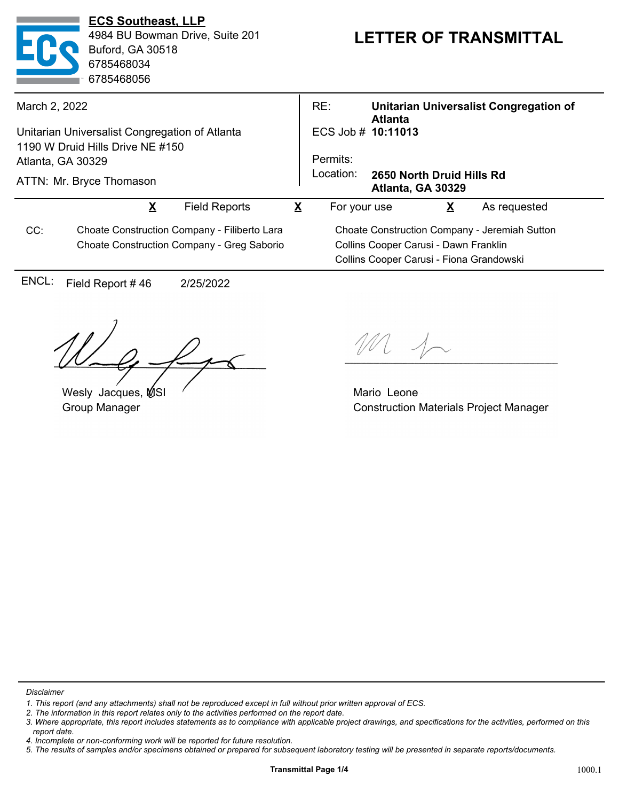| <b>ECS Southeast, LLP</b><br>4984 BU Bowman Drive, Suite 201<br><b>Buford, GA 30518</b><br>6785468034<br>6785468056 |                                                |                                              |                         | <b>LETTER OF TRANSMITTAL</b> |                                                |                                               |  |
|---------------------------------------------------------------------------------------------------------------------|------------------------------------------------|----------------------------------------------|-------------------------|------------------------------|------------------------------------------------|-----------------------------------------------|--|
| March 2, 2022                                                                                                       |                                                |                                              |                         | RE:                          | <b>Atlanta</b>                                 | Unitarian Universalist Congregation of        |  |
|                                                                                                                     | Unitarian Universalist Congregation of Atlanta |                                              |                         | ECS Job # 10:11013           |                                                |                                               |  |
|                                                                                                                     | 1190 W Druid Hills Drive NE #150               |                                              |                         |                              |                                                |                                               |  |
| Atlanta, GA 30329                                                                                                   |                                                |                                              |                         | Permits:                     |                                                |                                               |  |
|                                                                                                                     | ATTN: Mr. Bryce Thomason                       |                                              |                         | Location:                    | 2650 North Druid Hills Rd<br>Atlanta, GA 30329 |                                               |  |
|                                                                                                                     | $\overline{\mathbf{X}}$                        | <b>Field Reports</b>                         | $\overline{\mathbf{X}}$ | For your use                 | $\overline{\mathbf{X}}$                        | As requested                                  |  |
| CC:                                                                                                                 |                                                | Choate Construction Company - Filiberto Lara |                         |                              |                                                | Choate Construction Company - Jeremiah Sutton |  |
|                                                                                                                     |                                                | Choate Construction Company - Greg Saborio   |                         |                              | Collins Cooper Carusi - Dawn Franklin          |                                               |  |
|                                                                                                                     |                                                |                                              |                         |                              | Collins Cooper Carusi - Fiona Grandowski       |                                               |  |
| ENCL:                                                                                                               | Field Report #46                               | 2/25/2022                                    |                         |                              |                                                |                                               |  |
|                                                                                                                     | $\rightarrow$                                  |                                              |                         |                              |                                                |                                               |  |

 $1\sigma$ 

Wesly Jacques, MSI Group Manager

Mario Leone Construction Materials Project Manager

*Disclaimer*

*<sup>1.</sup> This report (and any attachments) shall not be reproduced except in full without prior written approval of ECS.*

*<sup>2.</sup> The information in this report relates only to the activities performed on the report date.*

*<sup>3.</sup> Where appropriate, this report includes statements as to compliance with applicable project drawings, and specifications for the activities, performed on this report date.*

*<sup>4.</sup> Incomplete or non-conforming work will be reported for future resolution.*

*<sup>5.</sup> The results of samples and/or specimens obtained or prepared for subsequent laboratory testing will be presented in separate reports/documents.*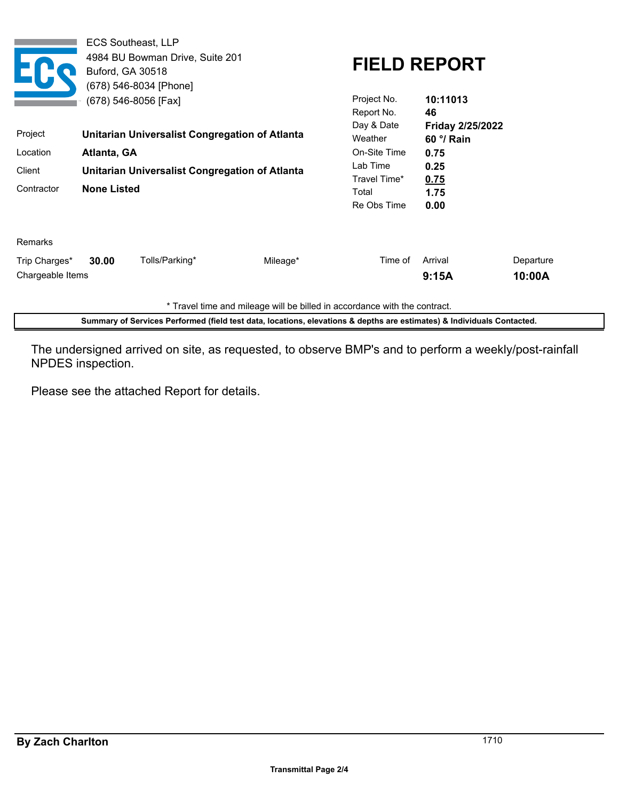|                                   | Buford, GA 30518                                                     | <b>ECS Southeast, LLP</b><br>4984 BU Bowman Drive, Suite 201<br>(678) 546-8034 [Phone]<br>(678) 546-8056 [Fax] |                                                  | Project No.<br>Report No.    | <b>FIELD REPORT</b><br>10:11013<br>46   |                     |
|-----------------------------------|----------------------------------------------------------------------|----------------------------------------------------------------------------------------------------------------|--------------------------------------------------|------------------------------|-----------------------------------------|---------------------|
| Project                           |                                                                      | Unitarian Universalist Congregation of Atlanta                                                                 |                                                  | Day & Date<br>Weather        | Friday 2/25/2022<br>60 $\degree$ / Rain |                     |
| Location<br>Atlanta, GA           |                                                                      |                                                                                                                |                                                  | On-Site Time                 | 0.75                                    |                     |
| Client<br>Contractor              | Unitarian Universalist Congregation of Atlanta<br><b>None Listed</b> |                                                                                                                | Lab Time<br>Travel Time*<br>Total<br>Re Obs Time | 0.25<br>0.75<br>1.75<br>0.00 |                                         |                     |
| Remarks                           |                                                                      |                                                                                                                |                                                  |                              |                                         |                     |
| Trip Charges*<br>Chargeable Items | 30.00                                                                | Tolls/Parking*                                                                                                 | Mileage*                                         | Time of                      | Arrival<br>9:15A                        | Departure<br>10:00A |

\* Travel time and mileage will be billed in accordance with the contract.

**Summary of Services Performed (field test data, locations, elevations & depths are estimates) & Individuals Contacted.**

The undersigned arrived on site, as requested, to observe BMP's and to perform a weekly/post-rainfall NPDES inspection.

Please see the attached Report for details.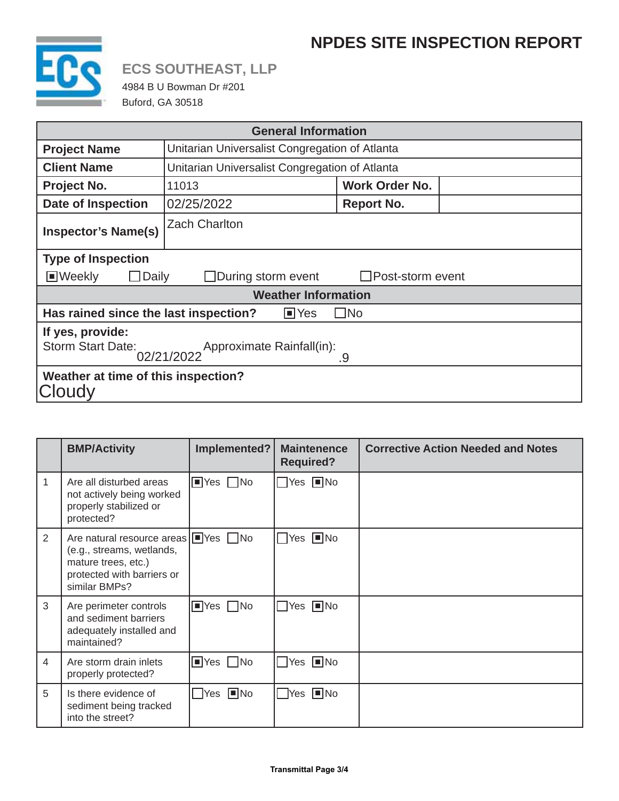## **NPDES SITE INSPECTION REPORT**



# **ECS SOUTHEAST, LLP**

4984 B U Bowman Dr #201 Buford, GA 30518

| <b>General Information</b>                                                                         |                                                |                         |  |  |  |  |
|----------------------------------------------------------------------------------------------------|------------------------------------------------|-------------------------|--|--|--|--|
| <b>Project Name</b>                                                                                | Unitarian Universalist Congregation of Atlanta |                         |  |  |  |  |
| <b>Client Name</b>                                                                                 | Unitarian Universalist Congregation of Atlanta |                         |  |  |  |  |
| Project No.                                                                                        | 11013                                          | <b>Work Order No.</b>   |  |  |  |  |
| <b>Date of Inspection</b>                                                                          | 02/25/2022                                     | <b>Report No.</b>       |  |  |  |  |
| <b>Inspector's Name(s)</b>                                                                         | <b>Zach Charlton</b>                           |                         |  |  |  |  |
| <b>Type of Inspection</b>                                                                          |                                                |                         |  |  |  |  |
| <b>■Weekly</b><br>Daily                                                                            | $\Box$ During storm event                      | $\Box$ Post-storm event |  |  |  |  |
| <b>Weather Information</b>                                                                         |                                                |                         |  |  |  |  |
| Has rained since the last inspection?<br>$\blacksquare$ Yes<br>$\Box$ No                           |                                                |                         |  |  |  |  |
| If yes, provide:<br><b>Storm Start Date:</b><br>Approximate Rainfall(in):<br>.<br>02/21/2022<br>.9 |                                                |                         |  |  |  |  |
| Weather at time of this inspection?<br><b>ICloudv</b>                                              |                                                |                         |  |  |  |  |

|                | <b>BMP/Activity</b>                                                                                                                                               | Implemented?                         | <b>Maintenence</b><br><b>Required?</b> | <b>Corrective Action Needed and Notes</b> |
|----------------|-------------------------------------------------------------------------------------------------------------------------------------------------------------------|--------------------------------------|----------------------------------------|-------------------------------------------|
| $\mathbf{1}$   | Are all disturbed areas<br>not actively being worked<br>properly stabilized or<br>protected?                                                                      | $\blacksquare$ Yes $\Box$ No         | $\Box$ Yes $\Box$ No                   |                                           |
| 2              | Are natural resource areas $\sqrt{\blacksquare}$ Yes $\Box$ No<br>(e.g., streams, wetlands,<br>mature trees, etc.)<br>protected with barriers or<br>similar BMPs? |                                      | $\Box$ Yes $\Box$ No                   |                                           |
| 3              | Are perimeter controls<br>and sediment barriers<br>adequately installed and<br>maintained?                                                                        | $\blacksquare$ Yes $\blacksquare$ No | $\Box$ Yes $\Box$ No                   |                                           |
| $\overline{4}$ | Are storm drain inlets<br>properly protected?                                                                                                                     | $\blacksquare$ Yes $\blacksquare$ No | $\Box$ Yes $\Box$ No                   |                                           |
| 5              | Is there evidence of<br>sediment being tracked<br>into the street?                                                                                                | $\Box$ Yes $\Box$ No                 | $\Box$ Yes $\Box$ No                   |                                           |